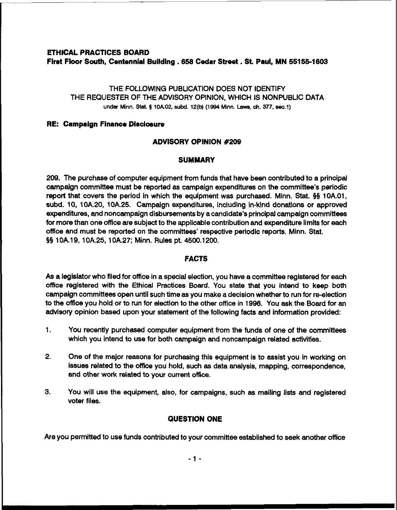# **ETHICAL PRACTICES BOARD Flmt Floor South, Centennial Building. 658 Cedar Street** . **St Paul, MN 551551603**

## THE FOLLOWING PUBLICATION DOES NOT IDENTIFY THE REQUESTER OF THE ADVISORY OPINION, WHICH IS NONWBLIC DATA under Minn. **Stat. f 10A02 subd. 12(b) (1994 Minn. Laws, ch. 377, sec.1)**

### **RE: Campalgn Finance Disclosure**

## **ADVISORY OPINION #209**

## **SUMMARY**

209. The purchase of computer equipment from funds that have been contributed to a principal campaign committee must be reported as campaign expenditures on the committee's periodic report that covers the period in which the equipment was purchased. Minn. Stat. **\$5** 10A.O1, subd. 10, 10A.20, lOA.25. Campaign expenditures, including in-kind donations or approved expenditures, and noncampaign disbursements by a candidate's principal campaign committees for more than one office are subject to the applicable contribution and expenditure limits for each office and must be reported on the committees' respective periodic reports. Minn. Stat. **\$5** 10A.19, 1 0A.25, 1 0A.27; Minn. Rules pt. 4500.1 200.

## **FACTS**

As a legislator who filed for office in a special election, you have a committee registered for each office registered with the Ethical Practices Board. You state that you intend to keep both campaign committees open until such time as you make a decision whether to run for re-election to the office you hold or to run for election to the other office in 1996. You ask the Board for an advisory opinion based upon your statement of the following facts and information provided:

- 1. You recently purchased computer equipment from the funds of one of the committees which you intend to use for both campaign and noncampaign related activities.
- 2. One of the major reasons for purchasing this equipment is to assist you in working on issues related to the office you hold, such as data analysis, mapping, correspondence, and other work related to your current office.
- **3.** You will use the equipment, also, for campaigns, such as mailing lists and registered voter files.

## **QUESTION ONE**

Are you permitted to use funds contributed to your committee established to seek another office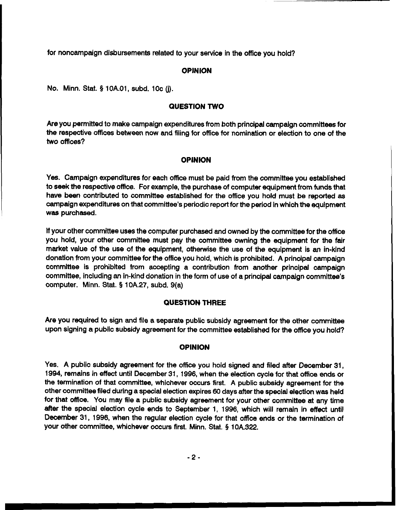for noncarnpaign disbursements related to your service in the office you hold?

### **OPINION**

No. Minn. Stat. **5 1 OA.O1,** subd. **10c (j).** 

### **QUESTION TWO**

Are you permitted to make campaign expenditures from both principal campaign committees for the respective offices between now and filing for office for nomination or election to one of the two offices?

### **OPINION**

Yes. Campaign expenditures for each office must be paid from the committee you established to seek the respective office. For example, the purchase of computer equipment from funds that have been contributed to committee established for the office you hold must be reported as campaign expenditures on that committee's periodic report for the period in which the equipment was purchased.

If your other committee uses the computer purchased and owned by the committee for the office you hold, your other committee must pay the committee owning the equipment for the fair market value of the use of the equipment, otherwise the use of the equipment is an in-kind donation from your committee for the office you hold, which is prohibited. **A** principal campaign committee is prohibited from accepting a contribution from another principal campaign committee, including an in-kind donation in the form of use of a principal campaign committee's computer. Minn. Stat. **5** 10A.27, subd. 9(a)

### **QUESTION THREE**

Are you required to sign and file a separate public subsidy agreement for the other committee upon signing a public subsidy agreement for the committee established for the office you hold?

#### **OPINION**

Yes. **A** public subsidy agreement for the office you hold signed and filed after December **31, 1994,** remains in effect until December **31, 1996,** when the election cycle for that office ends or the termination of that committee, whichever occurs first. **A** public subsidy agreement for the other committee tiled during a special election expires 60 days after the special election was held for that office. You may tile a public subsidy agreement for your other committee at any time after the special election cycle ends to September **1, 1996,** which will remain in effect until December 31, **1996,** when the regular election cycle for that office ends or the termination of your other committee, whichever occurs first. Minn. Stat. **5 lOA.3Z.**